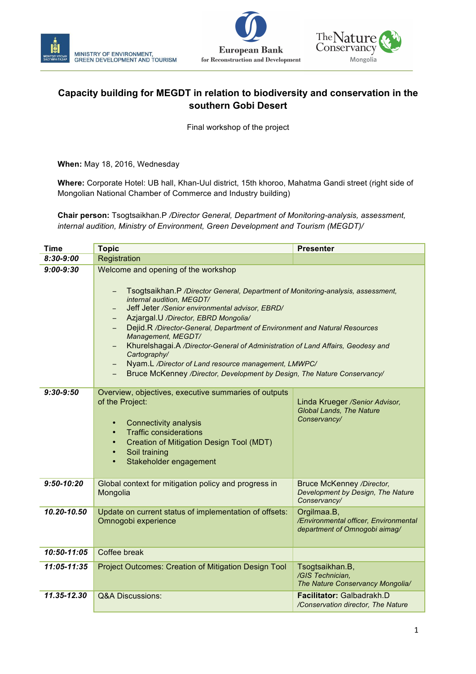





## **Capacity building for MEGDT in relation to biodiversity and conservation in the southern Gobi Desert**

Final workshop of the project

**When:** May 18, 2016, Wednesday

**Where:** Corporate Hotel: UB hall, Khan-Uul district, 15th khoroo, Mahatma Gandi street (right side of Mongolian National Chamber of Commerce and Industry building)

**Chair person:** Tsogtsaikhan.P */Director General, Department of Monitoring-analysis, assessment, internal audition, Ministry of Environment, Green Development and Tourism (MEGDT)/*

| <b>Time</b>    | <b>Topic</b>                                                                                                                                                                                                                                                                                                                                                                                                                                                                                                                                                                               | <b>Presenter</b>                                                                      |  |
|----------------|--------------------------------------------------------------------------------------------------------------------------------------------------------------------------------------------------------------------------------------------------------------------------------------------------------------------------------------------------------------------------------------------------------------------------------------------------------------------------------------------------------------------------------------------------------------------------------------------|---------------------------------------------------------------------------------------|--|
| $8:30 - 9:00$  | Registration                                                                                                                                                                                                                                                                                                                                                                                                                                                                                                                                                                               |                                                                                       |  |
| $9:00 - 9:30$  | Welcome and opening of the workshop<br>Tsogtsaikhan.P /Director General, Department of Monitoring-analysis, assessment,<br>internal audition, MEGDT/<br>Jeff Jeter /Senior environmental advisor, EBRD/<br>Azjargal.U /Director, EBRD Mongolia/<br>Dejid.R /Director-General, Department of Environment and Natural Resources<br>Management, MEGDT/<br>Khurelshagai.A /Director-General of Administration of Land Affairs, Geodesy and<br>Cartography/<br>Nyam.L /Director of Land resource management, LMWPC/<br>Bruce McKenney /Director, Development by Design, The Nature Conservancy/ |                                                                                       |  |
| $9:30-9:50$    | Overview, objectives, executive summaries of outputs<br>of the Project:<br><b>Connectivity analysis</b><br>$\bullet$<br><b>Traffic considerations</b><br>Creation of Mitigation Design Tool (MDT)<br>Soil training<br>$\bullet$<br>Stakeholder engagement<br>$\bullet$                                                                                                                                                                                                                                                                                                                     | Linda Krueger /Senior Advisor,<br><b>Global Lands, The Nature</b><br>Conservancy/     |  |
| $9:50 - 10:20$ | Global context for mitigation policy and progress in<br>Mongolia                                                                                                                                                                                                                                                                                                                                                                                                                                                                                                                           | <b>Bruce McKenney /Director,</b><br>Development by Design, The Nature<br>Conservancy/ |  |
| 10.20-10.50    | Update on current status of implementation of offsets:<br>Omnogobi experience                                                                                                                                                                                                                                                                                                                                                                                                                                                                                                              | Orgilmaa.B,<br>/Environmental officer, Environmental<br>department of Omnogobi aimag/ |  |
| 10:50-11:05    | Coffee break                                                                                                                                                                                                                                                                                                                                                                                                                                                                                                                                                                               |                                                                                       |  |
| 11:05-11:35    | Project Outcomes: Creation of Mitigation Design Tool                                                                                                                                                                                                                                                                                                                                                                                                                                                                                                                                       | Tsogtsaikhan.B,<br>/GIS Technician,<br>The Nature Conservancy Mongolia/               |  |
| 11.35-12.30    | <b>Q&amp;A Discussions:</b>                                                                                                                                                                                                                                                                                                                                                                                                                                                                                                                                                                | Facilitator: Galbadrakh.D<br>/Conservation director, The Nature                       |  |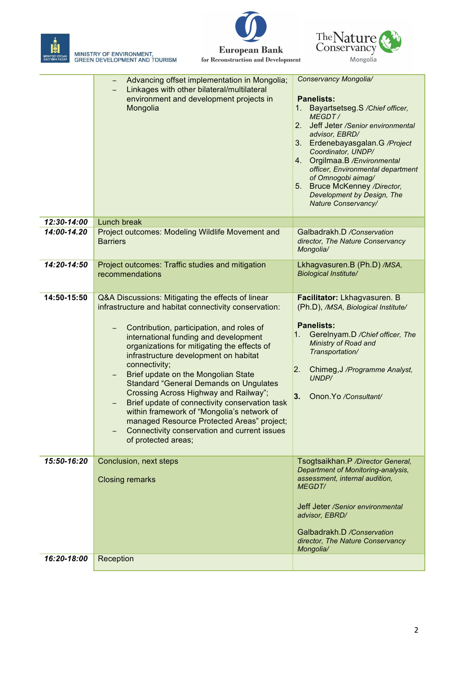

MINISTRY OF ENVIRONMENT,<br>GREEN DEVELOPMENT AND TOURISM





|             | Advancing offset implementation in Mongolia;<br>Linkages with other bilateral/multilateral<br>environment and development projects in<br>Mongolia                                                                                                                                                                                                                                                                                                                                                                                                                                                                                                                    | Conservancy Mongolia/<br><b>Panelists:</b><br>Bayartsetseg.S /Chief officer,<br>1.<br>MEGDT/<br>2.<br>Jeff Jeter /Senior environmental<br>advisor, EBRD/<br>Erdenebayasgalan.G /Project<br>3.<br>Coordinator, UNDP/<br>Orgilmaa.B /Environmental<br>4.<br>officer, Environmental department<br>of Omnogobi aimag/<br><b>Bruce McKenney /Director,</b><br>5.<br>Development by Design, The<br>Nature Conservancy/ |
|-------------|----------------------------------------------------------------------------------------------------------------------------------------------------------------------------------------------------------------------------------------------------------------------------------------------------------------------------------------------------------------------------------------------------------------------------------------------------------------------------------------------------------------------------------------------------------------------------------------------------------------------------------------------------------------------|------------------------------------------------------------------------------------------------------------------------------------------------------------------------------------------------------------------------------------------------------------------------------------------------------------------------------------------------------------------------------------------------------------------|
| 12:30-14:00 | Lunch break                                                                                                                                                                                                                                                                                                                                                                                                                                                                                                                                                                                                                                                          |                                                                                                                                                                                                                                                                                                                                                                                                                  |
| 14:00-14.20 | Project outcomes: Modeling Wildlife Movement and<br><b>Barriers</b>                                                                                                                                                                                                                                                                                                                                                                                                                                                                                                                                                                                                  | Galbadrakh.D /Conservation<br>director, The Nature Conservancy<br>Mongolia/                                                                                                                                                                                                                                                                                                                                      |
| 14:20-14:50 | Project outcomes: Traffic studies and mitigation<br>recommendations                                                                                                                                                                                                                                                                                                                                                                                                                                                                                                                                                                                                  | Lkhagvasuren.B (Ph.D) /MSA,<br><b>Biological Institute/</b>                                                                                                                                                                                                                                                                                                                                                      |
| 14:50-15:50 | Q&A Discussions: Mitigating the effects of linear<br>infrastructure and habitat connectivity conservation:<br>Contribution, participation, and roles of<br>international funding and development<br>organizations for mitigating the effects of<br>infrastructure development on habitat<br>connectivity;<br>Brief update on the Mongolian State<br>-<br><b>Standard "General Demands on Ungulates</b><br>Crossing Across Highway and Railway";<br>Brief update of connectivity conservation task<br>within framework of "Mongolia's network of<br>managed Resource Protected Areas" project;<br>Connectivity conservation and current issues<br>of protected areas; | Facilitator: Lkhagvasuren. B<br>(Ph.D), /MSA, Biological Institute/<br><b>Panelists:</b><br>1.<br>Gerelnyam.D / Chief officer, The<br>Ministry of Road and<br>Transportation/<br>2.<br>Chimeg, J /Programme Analyst,<br>UNDP/<br>3.<br>Onon.Yo /Consultant/                                                                                                                                                      |
| 15:50-16:20 | Conclusion, next steps<br><b>Closing remarks</b>                                                                                                                                                                                                                                                                                                                                                                                                                                                                                                                                                                                                                     | Tsogtsaikhan.P /Director General,<br>Department of Monitoring-analysis,<br>assessment, internal audition,<br><b>MEGDT/</b><br>Jeff Jeter /Senior environmental<br>advisor, EBRD/<br>Galbadrakh.D /Conservation<br>director, The Nature Conservancy<br>Mongolia/                                                                                                                                                  |
| 16:20-18:00 | Reception                                                                                                                                                                                                                                                                                                                                                                                                                                                                                                                                                                                                                                                            |                                                                                                                                                                                                                                                                                                                                                                                                                  |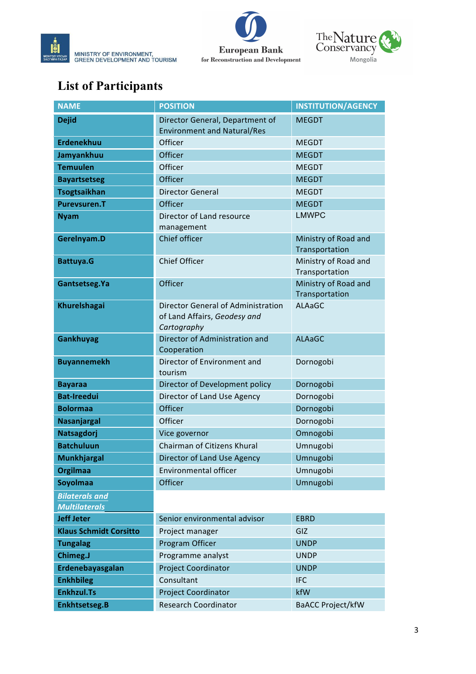



## **List of Participants**

| <b>NAME</b>                                   | <b>POSITION</b>                                                                          | <b>INSTITUTION/AGENCY</b>              |
|-----------------------------------------------|------------------------------------------------------------------------------------------|----------------------------------------|
| <b>Dejid</b>                                  | Director General, Department of<br><b>Environment and Natural/Res</b>                    | <b>MEGDT</b>                           |
| <b>Erdenekhuu</b>                             | Officer                                                                                  | <b>MEGDT</b>                           |
| Jamyankhuu                                    | Officer                                                                                  | <b>MEGDT</b>                           |
| <b>Temuulen</b>                               | Officer                                                                                  | <b>MEGDT</b>                           |
| <b>Bayartsetseg</b>                           | Officer                                                                                  | <b>MEGDT</b>                           |
| <b>Tsogtsaikhan</b>                           | <b>Director General</b>                                                                  | <b>MEGDT</b>                           |
| <b>Purevsuren.T</b>                           | Officer                                                                                  | <b>MEGDT</b>                           |
| <b>Nyam</b>                                   | Director of Land resource<br>management                                                  | <b>LMWPC</b>                           |
| Gerelnyam.D                                   | Chief officer                                                                            | Ministry of Road and<br>Transportation |
| <b>Battuya.G</b>                              | Chief Officer                                                                            | Ministry of Road and<br>Transportation |
| Gantsetseg. Ya                                | Officer                                                                                  | Ministry of Road and<br>Transportation |
| <b>Khurelshagai</b>                           | <b>Director General of Administration</b><br>of Land Affairs, Geodesy and<br>Cartography | ALAaGC                                 |
| <b>Gankhuyag</b>                              | Director of Administration and<br>Cooperation                                            | <b>ALAaGC</b>                          |
| <b>Buyannemekh</b>                            | Director of Environment and<br>tourism                                                   | Dornogobi                              |
| <b>Bayaraa</b>                                | Director of Development policy                                                           | Dornogobi                              |
| <b>Bat-Ireedui</b>                            | Director of Land Use Agency                                                              | Dornogobi                              |
| <b>Bolormaa</b>                               | Officer                                                                                  | Dornogobi                              |
| <b>Nasanjargal</b>                            | Officer                                                                                  | Dornogobi                              |
| Natsagdorj                                    | Vice governor                                                                            | Omnogobi                               |
| <b>Batchuluun</b>                             | Chairman of Citizens Khural                                                              | Umnugobi                               |
| <b>Munkhjargal</b>                            | Director of Land Use Agency                                                              | Umnugobi                               |
| <b>Orgilmaa</b>                               | <b>Environmental officer</b>                                                             | Umnugobi                               |
| <b>Soyolmaa</b>                               | Officer                                                                                  | Umnugobi                               |
| <b>Bilaterals and</b><br><b>Multilaterals</b> |                                                                                          |                                        |
| <b>Jeff Jeter</b>                             | Senior environmental advisor                                                             | <b>EBRD</b>                            |
| <b>Klaus Schmidt Corsitto</b>                 | Project manager                                                                          | GIZ                                    |
| <b>Tungalag</b>                               | Program Officer                                                                          | <b>UNDP</b>                            |
| Chimeg.J                                      | Programme analyst                                                                        | <b>UNDP</b>                            |
| Erdenebayasgalan                              | <b>Project Coordinator</b>                                                               | <b>UNDP</b>                            |
| <b>Enkhbileg</b>                              | Consultant                                                                               | <b>IFC</b>                             |
| <b>Enkhzul.Ts</b>                             | <b>Project Coordinator</b>                                                               | kfW                                    |
| <b>Enkhtsetseg.B</b>                          | <b>Research Coordinator</b>                                                              | <b>BaACC Project/kfW</b>               |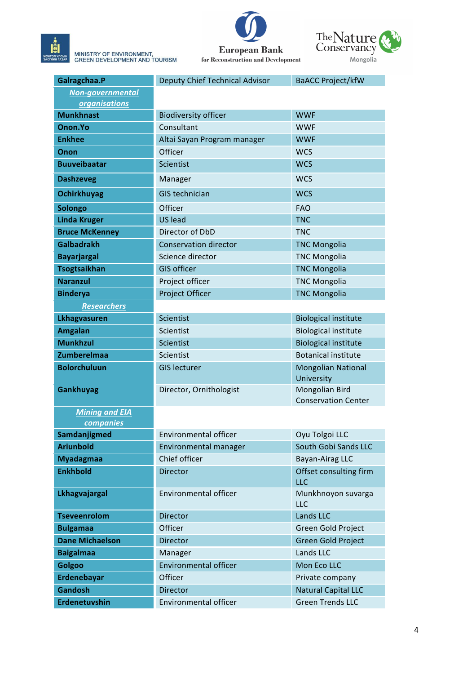MINISTRY OF ENVIRONMENT,<br>GREEN DEVELOPMENT AND TOURISM





| Galragchaa.P            | <b>Deputy Chief Technical Advisor</b> | <b>BaACC Project/kfW</b>                     |
|-------------------------|---------------------------------------|----------------------------------------------|
| <b>Non-governmental</b> |                                       |                                              |
| <b>organisations</b>    |                                       |                                              |
| <b>Munkhnast</b>        | <b>Biodiversity officer</b>           | <b>WWF</b>                                   |
| Onon.Yo                 | Consultant                            | <b>WWF</b>                                   |
| <b>Enkhee</b>           | Altai Sayan Program manager           | <b>WWF</b>                                   |
| Onon                    | Officer                               | <b>WCS</b>                                   |
| <b>Buuveibaatar</b>     | Scientist                             | <b>WCS</b>                                   |
| <b>Dashzeveg</b>        | Manager                               | <b>WCS</b>                                   |
| <b>Ochirkhuyag</b>      | <b>GIS technician</b>                 | <b>WCS</b>                                   |
| <b>Solongo</b>          | Officer                               | <b>FAO</b>                                   |
| <b>Linda Kruger</b>     | <b>US</b> lead                        | <b>TNC</b>                                   |
| <b>Bruce McKenney</b>   | Director of DbD                       | <b>TNC</b>                                   |
| <b>Galbadrakh</b>       | <b>Conservation director</b>          | <b>TNC Mongolia</b>                          |
| <b>Bayarjargal</b>      | Science director                      | <b>TNC Mongolia</b>                          |
| <b>Tsogtsaikhan</b>     | <b>GIS officer</b>                    | <b>TNC Mongolia</b>                          |
| <b>Naranzul</b>         | Project officer                       | <b>TNC Mongolia</b>                          |
| <b>Binderya</b>         | Project Officer                       | <b>TNC Mongolia</b>                          |
| <b>Researchers</b>      |                                       |                                              |
| Lkhagvasuren            | Scientist                             | <b>Biological institute</b>                  |
| <b>Amgalan</b>          | Scientist                             | <b>Biological institute</b>                  |
| <b>Munkhzul</b>         | Scientist                             | <b>Biological institute</b>                  |
| <b>Zumberelmaa</b>      | Scientist                             | <b>Botanical institute</b>                   |
| <b>Bolorchuluun</b>     | <b>GIS lecturer</b>                   | <b>Mongolian National</b><br>University      |
| <b>Gankhuyag</b>        | Director, Ornithologist               | Mongolian Bird<br><b>Conservation Center</b> |
| <b>Mining and EIA</b>   |                                       |                                              |
| companies               |                                       |                                              |
| Samdanjigmed            | <b>Environmental officer</b>          | Oyu Tolgoi LLC                               |
| <b>Ariunbold</b>        | Environmental manager                 | South Gobi Sands LLC                         |
| <b>Myadagmaa</b>        | Chief officer                         | Bayan-Airag LLC                              |
| <b>Enkhbold</b>         | Director                              | Offset consulting firm<br><b>LLC</b>         |
| Lkhagvajargal           | <b>Environmental officer</b>          | Munkhnoyon suvarga<br><b>LLC</b>             |
| <b>Tseveenrolom</b>     | <b>Director</b>                       | Lands LLC                                    |
| <b>Bulgamaa</b>         | Officer                               | Green Gold Project                           |
| <b>Dane Michaelson</b>  | <b>Director</b>                       | <b>Green Gold Project</b>                    |
| <b>Baigalmaa</b>        | Manager                               | Lands LLC                                    |
| Golgoo                  | <b>Environmental officer</b>          | Mon Eco LLC                                  |
| Erdenebayar             | Officer                               | Private company                              |
| <b>Gandosh</b>          | <b>Director</b>                       | <b>Natural Capital LLC</b>                   |
| Erdenetuvshin           | Environmental officer                 | <b>Green Trends LLC</b>                      |